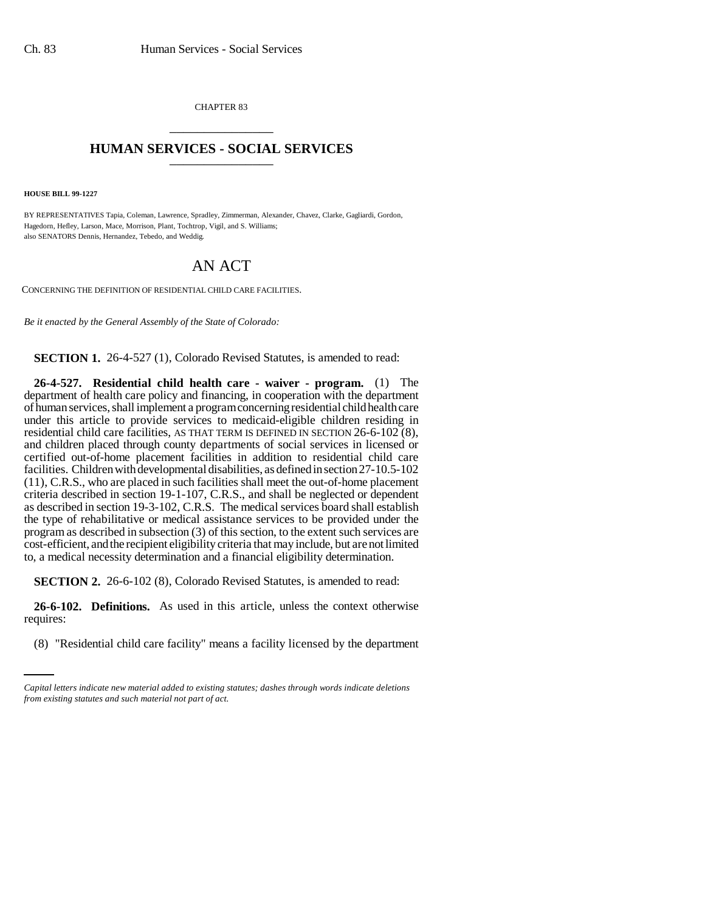CHAPTER 83 \_\_\_\_\_\_\_\_\_\_\_\_\_\_\_

## **HUMAN SERVICES - SOCIAL SERVICES** \_\_\_\_\_\_\_\_\_\_\_\_\_\_\_

**HOUSE BILL 99-1227**

BY REPRESENTATIVES Tapia, Coleman, Lawrence, Spradley, Zimmerman, Alexander, Chavez, Clarke, Gagliardi, Gordon, Hagedorn, Hefley, Larson, Mace, Morrison, Plant, Tochtrop, Vigil, and S. Williams; also SENATORS Dennis, Hernandez, Tebedo, and Weddig.

## AN ACT

CONCERNING THE DEFINITION OF RESIDENTIAL CHILD CARE FACILITIES.

*Be it enacted by the General Assembly of the State of Colorado:*

**SECTION 1.** 26-4-527 (1), Colorado Revised Statutes, is amended to read:

**26-4-527. Residential child health care - waiver - program.** (1) The department of health care policy and financing, in cooperation with the department of human services, shall implement a program concerning residential child health care under this article to provide services to medicaid-eligible children residing in residential child care facilities, AS THAT TERM IS DEFINED IN SECTION 26-6-102 (8), and children placed through county departments of social services in licensed or certified out-of-home placement facilities in addition to residential child care facilities. Children with developmental disabilities, as defined in section 27-10.5-102 (11), C.R.S., who are placed in such facilities shall meet the out-of-home placement criteria described in section 19-1-107, C.R.S., and shall be neglected or dependent as described in section 19-3-102, C.R.S. The medical services board shall establish the type of rehabilitative or medical assistance services to be provided under the program as described in subsection (3) of this section, to the extent such services are cost-efficient, and the recipient eligibility criteria that may include, but are not limited to, a medical necessity determination and a financial eligibility determination.

**SECTION 2.** 26-6-102 (8), Colorado Revised Statutes, is amended to read:

requires: **26-6-102. Definitions.** As used in this article, unless the context otherwise

(8) "Residential child care facility" means a facility licensed by the department

*Capital letters indicate new material added to existing statutes; dashes through words indicate deletions from existing statutes and such material not part of act.*